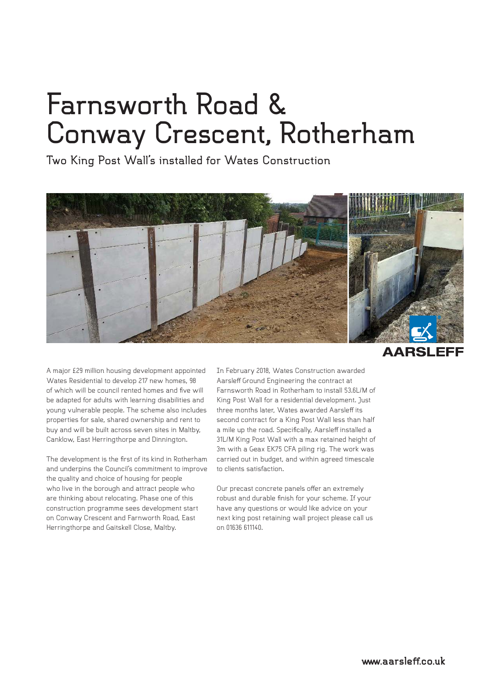## **Farnsworth Road & Conway Crescent, Rotherham**

**Two King Post Wall's installed for Wates Construction**



**AARSLE** 

A major £29 million housing development appointed Wates Residential to develop 217 new homes, 98 of which will be council rented homes and five will be adapted for adults with learning disabilities and young vulnerable people. The scheme also includes properties for sale, shared ownership and rent to buy and will be built across seven sites in Maltby, Canklow, East Herringthorpe and Dinnington.

The development is the first of its kind in Rotherham and underpins the Council's commitment to improve the quality and choice of housing for people who live in the borough and attract people who are thinking about relocating. Phase one of this construction programme sees development start on Conway Crescent and Farnworth Road, East Herringthorpe and Gaitskell Close, Maltby.

In February 2018, Wates Construction awarded Aarsleff Ground Engineering the contract at Farnsworth Road in Rotherham to install 53.6L/M of King Post Wall for a residential development. Just three months later, Wates awarded Aarsleff its second contract for a King Post Wall less than half a mile up the road. Specifically, Aarsleff installed a 31L/M King Post Wall with a max retained height of 3m with a Geax EK75 CFA piling rig. The work was carried out in budget, and within agreed timescale to clients satisfaction.

Our precast concrete panels offer an extremely robust and durable finish for your scheme. If your have any questions or would like advice on your next king post retaining wall project please call us on 01636 611140.